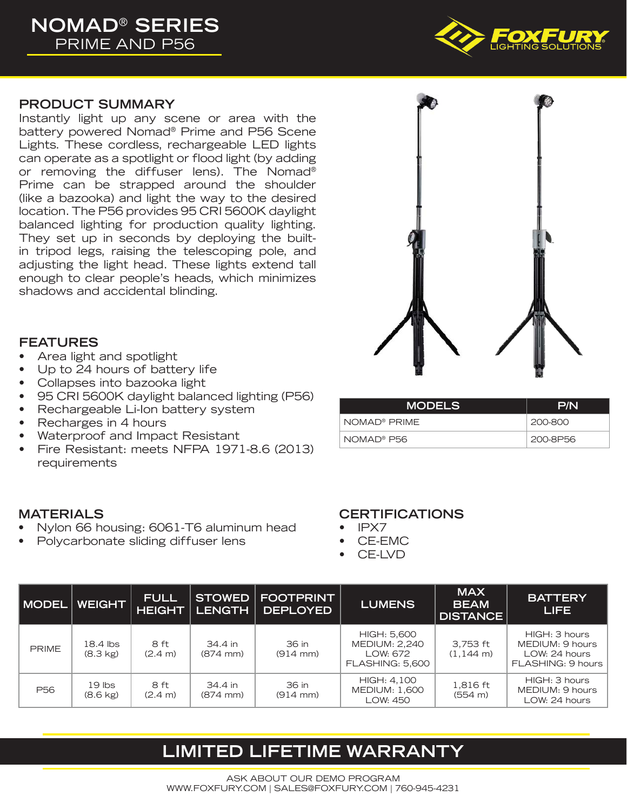

### **PRODUCT SUMMARY**

Instantly light up any scene or area with the battery powered Nomad® Prime and P56 Scene Lights. These cordless, rechargeable LED lights can operate as a spotlight or flood light (by adding or removing the diffuser lens). The Nomad<sup>®</sup> Prime can be strapped around the shoulder (like a bazooka) and light the way to the desired location. The P56 provides 95 CRI 5600K daylight balanced lighting for production quality lighting. They set up in seconds by deploying the builtin tripod legs, raising the telescoping pole, and adjusting the light head. These lights extend tall enough to clear people's heads, which minimizes shadows and accidental blinding.



### **FEATURES**

- Area light and spotlight
- Up to 24 hours of battery life
- Collapses into bazooka light
- 95 CRI 5600K daylight balanced lighting (P56)
- Rechargeable Li-Ion battery system
- Recharges in 4 hours
- Waterproof and Impact Resistant
- Fire Resistant: meets NFPA 1971-8.6 (2013) requirements

### **MATERIALS**

- Nylon 66 housing: 6061-T6 aluminum head
- Polycarbonate sliding diffuser lens

# NOMAD® PRIME 200-800 NOMAD® P56 200-8P56

**MODELS P/N**

### **CERTIFICATIONS**

- IPX7
- CE-EMC
- CE-LVD

| <b>I MODEL</b>  | <b>WEIGHT</b>                  | <b>FULL</b><br><b>HEIGHT</b> | <b>LENGTH</b>                 | <b>STOWED   FOOTPRINT</b><br><b>DEPLOYED</b> | <b>LUMENS</b>                                                             | <b>MAX</b><br><b>BEAM</b><br><b>DISTANCE</b> | <b>BATTERY</b><br>LIFE                                                 |
|-----------------|--------------------------------|------------------------------|-------------------------------|----------------------------------------------|---------------------------------------------------------------------------|----------------------------------------------|------------------------------------------------------------------------|
| <b>PRIME</b>    | 18.4 lbs<br>$(8.3 \text{ kg})$ | 8 ft<br>$(2.4 \text{ m})$    | 34.4 in<br>$(874 \text{ mm})$ | 36 in<br>$(914 \, \text{mm})$                | HIGH: 5,600<br><b>MEDIUM: 2,240</b><br>LOW: 672<br><b>FLASHING: 5.600</b> | 3,753 ft<br>$(1,144 \text{ m})$              | HIGH: 3 hours<br>MEDIUM: 9 hours<br>LOW: 24 hours<br>FLASHING: 9 hours |
| P <sub>56</sub> | $19$ lbs<br>$(8.6 \text{ kg})$ | 8 ft<br>$(2.4 \text{ m})$    | 34.4 in<br>$(874 \text{ mm})$ | 36 in<br>$(914 \, \text{mm})$                | HIGH: 4,100<br><b>MEDIUM: 1,600</b><br>LOW: 450                           | 1,816 ft<br>(554 m)                          | HIGH: 3 hours<br>MEDIUM: 9 hours<br>LOW: 24 hours                      |

## **LIMITED LIFETIME WARRANTY**